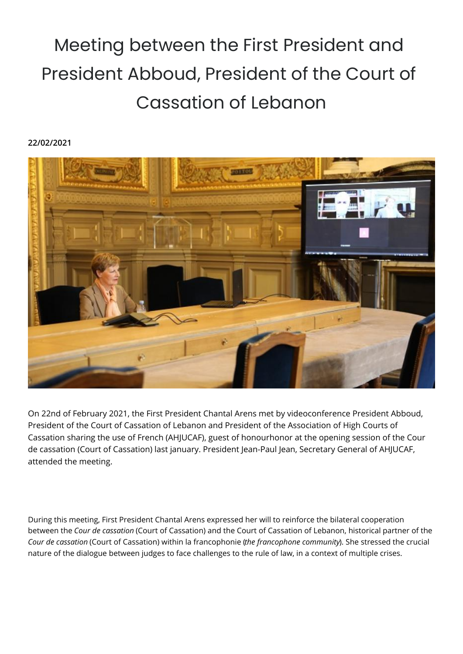## Meeting between the First President and President Abboud, President of the Court of Cassation of Lebanon

## **22/02/2021**



On 22nd of February 2021, the First President Chantal Arens met by videoconference President Abboud, President of the Court of Cassation of Lebanon and President of the Association of High Courts of Cassation sharing the use of French (AHJUCAF), guest of honourhonor at the opening session of the Cour de cassation (Court of Cassation) last january. President Jean-Paul Jean, Secretary General of AHJUCAF, attended the meeting.

During this meeting, First President Chantal Arens expressed her will to reinforce the bilateral cooperation between the *Cour de cassation* (Court of Cassation) and the Court of Cassation of Lebanon, historical partner of the *Cour de cassation* (Court of Cassation) within la francophonie (*the francophone community*). She stressed the crucial nature of the dialogue between judges to face challenges to the rule of law, in a context of multiple crises.